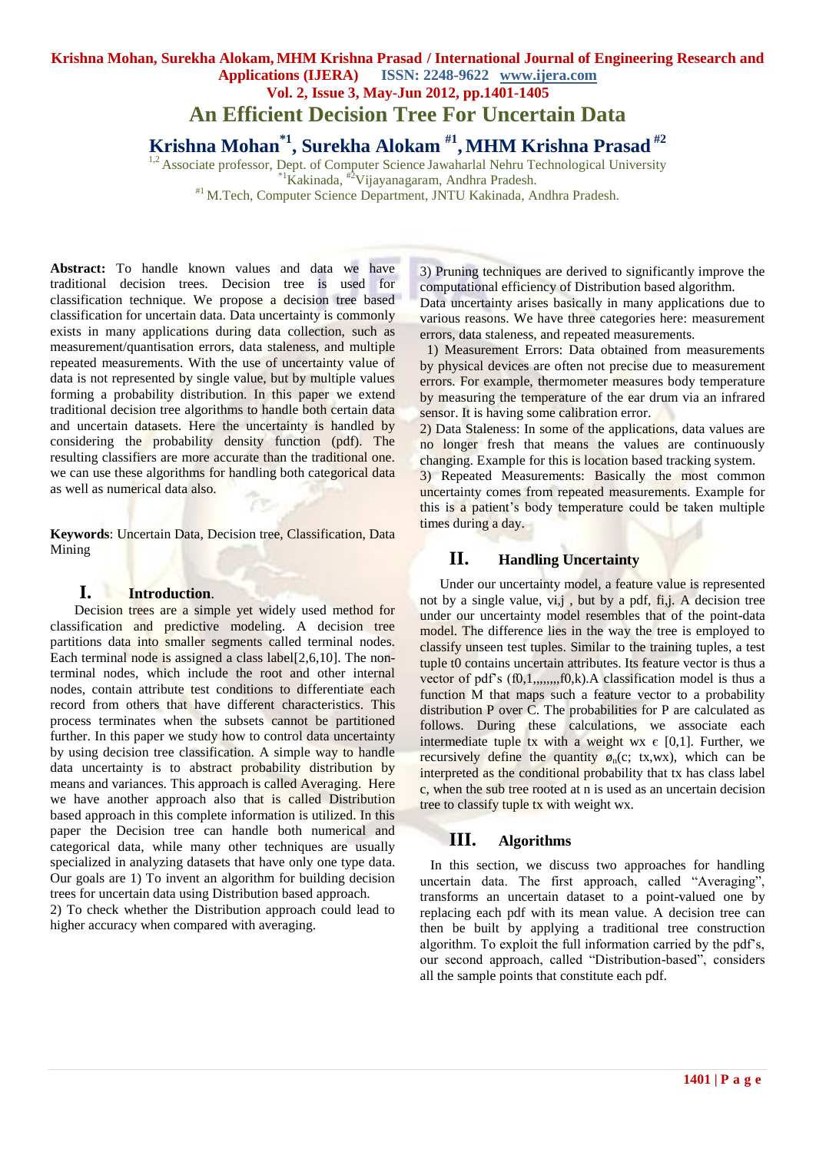**An Efficient Decision Tree For Uncertain Data**

**Krishna Mohan\*1, Surekha Alokam #1 , MHM Krishna Prasad #2**

<sup>1,2</sup> Associate professor, Dept. of Computer Science Jawaharlal Nehru Technological University  $^{11}$ Kakinada,  $^{22}$ Vijayanagaram, Andhra Pradesh. #1 M.Tech, Computer Science Department, JNTU Kakinada, Andhra Pradesh.

**Abstract:** To handle known values and data we have traditional decision trees. Decision tree is used for classification technique. We propose a decision tree based classification for uncertain data. Data uncertainty is commonly exists in many applications during data collection, such as measurement/quantisation errors, data staleness, and multiple repeated measurements. With the use of uncertainty value of data is not represented by single value, but by multiple values forming a probability distribution. In this paper we extend traditional decision tree algorithms to handle both certain data and uncertain datasets. Here the uncertainty is handled by considering the probability density function (pdf). The resulting classifiers are more accurate than the traditional one.

**Keywords**: Uncertain Data, Decision tree, Classification, Data Mining

we can use these algorithms for handling both categorical data

## **I. Introduction**.

as well as numerical data also.

 Decision trees are a simple yet widely used method for classification and predictive modeling. A decision tree partitions data into smaller segments called terminal nodes. Each terminal node is assigned a class label[2,6,10]. The nonterminal nodes, which include the root and other internal nodes, contain attribute test conditions to differentiate each record from others that have different characteristics. This process terminates when the subsets cannot be partitioned further. In this paper we study how to control data uncertainty by using decision tree classification. A simple way to handle data uncertainty is to abstract probability distribution by means and variances. This approach is called Averaging. Here we have another approach also that is called Distribution based approach in this complete information is utilized. In this paper the Decision tree can handle both numerical and categorical data, while many other techniques are usually specialized in analyzing datasets that have only one type data. Our goals are 1) To invent an algorithm for building decision trees for uncertain data using Distribution based approach.

2) To check whether the Distribution approach could lead to higher accuracy when compared with averaging.

3) Pruning techniques are derived to significantly improve the computational efficiency of Distribution based algorithm.

Data uncertainty arises basically in many applications due to various reasons. We have three categories here: measurement errors, data staleness, and repeated measurements.

 1) Measurement Errors: Data obtained from measurements by physical devices are often not precise due to measurement errors. For example, thermometer measures body temperature by measuring the temperature of the ear drum via an infrared sensor. It is having some calibration error.

2) Data Staleness: In some of the applications, data values are no longer fresh that means the values are continuously changing. Example for this is location based tracking system.

3) Repeated Measurements: Basically the most common uncertainty comes from repeated measurements. Example for this is a patient's body temperature could be taken multiple times during a day.

# **II. Handling Uncertainty**

Under our uncertainty model, a feature value is represented not by a single value, vi,j , but by a pdf, fi,j. A decision tree under our uncertainty model resembles that of the point-data model. The difference lies in the way the tree is employed to classify unseen test tuples. Similar to the training tuples, a test tuple t0 contains uncertain attributes. Its feature vector is thus a vector of pdf's (f0,1,,,,,,,,f0,k).A classification model is thus a function M that maps such a feature vector to a probability distribution P over C. The probabilities for P are calculated as follows. During these calculations, we associate each intermediate tuple tx with a weight wx  $\epsilon$  [0,1]. Further, we recursively define the quantity  $\phi_n(c; tx,wx)$ , which can be interpreted as the conditional probability that tx has class label c, when the sub tree rooted at n is used as an uncertain decision tree to classify tuple tx with weight wx.

# **III. Algorithms**

 In this section, we discuss two approaches for handling uncertain data. The first approach, called "Averaging", transforms an uncertain dataset to a point-valued one by replacing each pdf with its mean value. A decision tree can then be built by applying a traditional tree construction algorithm. To exploit the full information carried by the pdf's, our second approach, called "Distribution-based", considers all the sample points that constitute each pdf.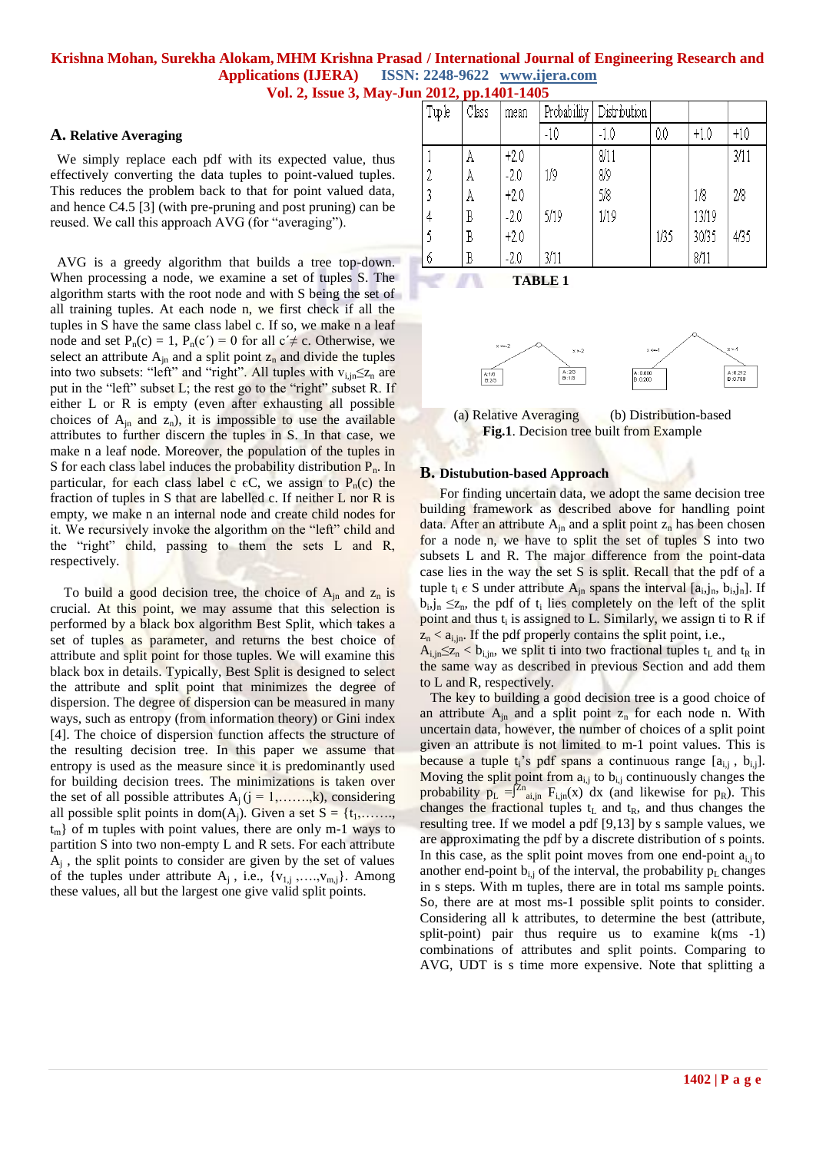# **Krishna Mohan, Surekha Alokam, MHM Krishna Prasad / International Journal of Engineering Research and Applications (IJERA) ISSN: 2248-9622 www.ijera.com**

**Vol. 2, Issue 3, May-Jun 2012, pp.1401-1405**

#### **A. Relative Averaging**

 We simply replace each pdf with its expected value, thus effectively converting the data tuples to point-valued tuples. This reduces the problem back to that for point valued data, and hence C4.5 [3] (with pre-pruning and post pruning) can be reused. We call this approach AVG (for "averaging").

 AVG is a greedy algorithm that builds a tree top-down. When processing a node, we examine a set of tuples S. The algorithm starts with the root node and with S being the set of all training tuples. At each node n, we first check if all the tuples in S have the same class label c. If so, we make n a leaf node and set  $P_n(c) = 1$ ,  $P_n(c') = 0$  for all  $c' \neq c$ . Otherwise, we select an attribute  $A_{in}$  and a split point  $Z_n$  and divide the tuples into two subsets: "left" and "right". All tuples with  $v_{i,n} \leq z_n$  are put in the "left" subset  $L$ ; the rest go to the "right" subset R. If either L or R is empty (even after exhausting all possible choices of  $A_{in}$  and  $Z_n$ ), it is impossible to use the available attributes to further discern the tuples in S. In that case, we make n a leaf node. Moreover, the population of the tuples in S for each class label induces the probability distribution  $P_n$ . In particular, for each class label c  $\epsilon C$ , we assign to P<sub>n</sub>(c) the fraction of tuples in S that are labelled c. If neither  $L$  nor  $R$  is empty, we make n an internal node and create child nodes for it. We recursively invoke the algorithm on the "left" child and the "right" child, passing to them the sets  $L$  and  $R$ , respectively.

To build a good decision tree, the choice of  $A_{in}$  and  $Z_n$  is crucial. At this point, we may assume that this selection is performed by a black box algorithm Best Split, which takes a set of tuples as parameter, and returns the best choice of attribute and split point for those tuples. We will examine this black box in details. Typically, Best Split is designed to select the attribute and split point that minimizes the degree of dispersion. The degree of dispersion can be measured in many ways, such as entropy (from information theory) or Gini index [4]. The choice of dispersion function affects the structure of the resulting decision tree. In this paper we assume that entropy is used as the measure since it is predominantly used for building decision trees. The minimizations is taken over the set of all possible attributes  $A_i$  ( $j = 1, \ldots, k$ ), considering all possible split points in dom(A<sub>j</sub>). Given a set  $S = \{t_1, \ldots, t_m\}$  $t_m$ } of m tuples with point values, there are only m-1 ways to partition S into two non-empty L and R sets. For each attribute  $A_j$ , the split points to consider are given by the set of values of the tuples under attribute  $A_i$ , i.e.,  $\{v_{1,i},...,v_{m,i}\}$ . Among these values, all but the largest one give valid split points.

| Tuple | Class | mean   | Probability | Distribution |      |        |       |
|-------|-------|--------|-------------|--------------|------|--------|-------|
|       |       |        | $-10$       | $-1.0$       | 0.0  | $+1.0$ | $+10$ |
|       | A     | $+2.0$ |             | 8/11         |      |        | 3/11  |
|       | A     | $-2.0$ | 1/9         | 8/9          |      |        |       |
|       | A     | $+2.0$ |             | 5/8          |      | 1/8    | 2/8   |
| 4     | Β     | $-2.0$ | 5/19        | 1/19         |      | 13/19  |       |
|       | B     | $+2.0$ |             |              | 1/35 | 30/35  | 4/35  |
| -6    | В     | $-2.0$ | 3/11        |              |      | 8/11   |       |





(a) Relative Averaging (b) Distribution-based **Fig.1**. Decision tree built from Example

#### **B. Distubution-based Approach**

For finding uncertain data, we adopt the same decision tree building framework as described above for handling point data. After an attribute  $A_{in}$  and a split point  $z_n$  has been chosen for a node n, we have to split the set of tuples S into two subsets L and R. The major difference from the point-data case lies in the way the set S is split. Recall that the pdf of a tuple  $t_i \in S$  under attribute  $A_{jn}$  spans the interval  $[a_i, j_n, b_i, j_n]$ . If  $b_i, j_n \leq z_n$ , the pdf of  $t_i$  lies completely on the left of the split point and thus  $t_i$  is assigned to L. Similarly, we assign ti to R if  $z_n < a_{i,jn}$ . If the pdf properly contains the split point, i.e.,

 $A_{i,in} \leq Z_n < b_{i,in}$ , we split ti into two fractional tuples  $t_L$  and  $t_R$  in the same way as described in previous Section and add them to L and R, respectively.

The key to building a good decision tree is a good choice of an attribute  $A_{in}$  and a split point  $Z_n$  for each node n. With uncertain data, however, the number of choices of a split point given an attribute is not limited to m-1 point values. This is because a tuple  $t_i$ 's pdf spans a continuous range  $[a_{i,j}, b_{i,j}]$ . Moving the split point from  $a_{i,j}$  to  $b_{i,j}$  continuously changes the probability  $p_L = \int^{Z_n} a_{i,jn} F_{i,jn}(x) dx$  (and likewise for  $p_R$ ). This changes the fractional tuples  $t_L$  and  $t_R$ , and thus changes the resulting tree. If we model a pdf [9,13] by s sample values, we are approximating the pdf by a discrete distribution of s points. In this case, as the split point moves from one end-point  $a_{i,j}$  to another end-point  $b_{i,j}$  of the interval, the probability  $p_L$  changes in s steps. With m tuples, there are in total ms sample points. So, there are at most ms-1 possible split points to consider. Considering all k attributes, to determine the best (attribute, split-point) pair thus require us to examine  $k$ (ms -1) combinations of attributes and split points. Comparing to AVG, UDT is s time more expensive. Note that splitting a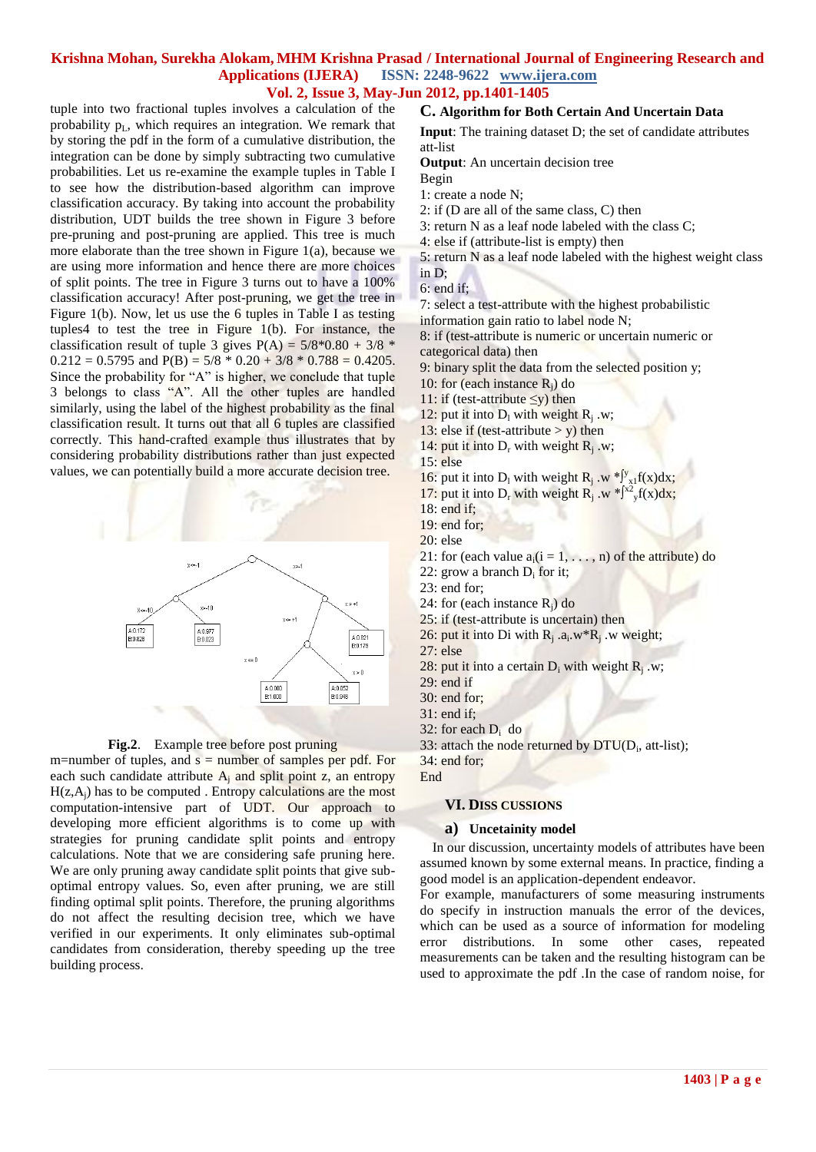tuple into two fractional tuples involves a calculation of the probability  $p_L$ , which requires an integration. We remark that by storing the pdf in the form of a cumulative distribution, the integration can be done by simply subtracting two cumulative probabilities. Let us re-examine the example tuples in Table I to see how the distribution-based algorithm can improve classification accuracy. By taking into account the probability distribution, UDT builds the tree shown in Figure 3 before pre-pruning and post-pruning are applied. This tree is much more elaborate than the tree shown in Figure 1(a), because we are using more information and hence there are more choices of split points. The tree in Figure 3 turns out to have a 100% classification accuracy! After post-pruning, we get the tree in Figure 1(b). Now, let us use the 6 tuples in Table I as testing tuples4 to test the tree in Figure 1(b). For instance, the classification result of tuple 3 gives  $P(A) = 5/8*0.80 + 3/8$  $0.212 = 0.5795$  and  $P(B) = 5/8 * 0.20 + 3/8 * 0.788 = 0.4205$ . Since the probability for "A" is higher, we conclude that tuple 3 belongs to class "A". All the other tuples are handled similarly, using the label of the highest probability as the final classification result. It turns out that all 6 tuples are classified correctly. This hand-crafted example thus illustrates that by considering probability distributions rather than just expected values, we can potentially build a more accurate decision tree.



**Fig.2**. Example tree before post pruning

m=number of tuples, and  $s =$  number of samples per pdf. For each such candidate attribute  $A_i$  and split point z, an entropy  $H(z, A<sub>i</sub>)$  has to be computed . Entropy calculations are the most computation-intensive part of UDT. Our approach to developing more efficient algorithms is to come up with strategies for pruning candidate split points and entropy calculations. Note that we are considering safe pruning here. We are only pruning away candidate split points that give suboptimal entropy values. So, even after pruning, we are still finding optimal split points. Therefore, the pruning algorithms do not affect the resulting decision tree, which we have verified in our experiments. It only eliminates sub-optimal candidates from consideration, thereby speeding up the tree building process.

## **C. Algorithm for Both Certain And Uncertain Data**

**Input**: The training dataset D; the set of candidate attributes att-list

**Output**: An uncertain decision tree

Begin

- 1: create a node N;
- 2: if (D are all of the same class, C) then
- 3: return N as a leaf node labeled with the class C;
- 4: else if (attribute-list is empty) then
- 5: return N as a leaf node labeled with the highest weight class
- in D;
- 6: end if;

7: select a test-attribute with the highest probabilistic information gain ratio to label node N;

8: if (test-attribute is numeric or uncertain numeric or categorical data) then

- 9: binary split the data from the selected position y;
- 10: for (each instance  $R_i$ ) do

11: if (test-attribute ≤y) then

- 12: put it into  $D_1$  with weight  $R_j$ .w;
- 13: else if (test-attribute  $>$  v) then
- 14: put it into  $D_r$  with weight  $R_j$ .w;

- 16: put it into D<sub>1</sub> with weight R<sub>j</sub> .w \* $\int y_{x_1} f(x) dx$ ;
- 17: put it into D<sub>r</sub> with weight R<sub>j</sub> .w \* $\int^{x^2} y f(x) dx$ ;
- 18: end if;
- 19: end for;
- 20: else
- 21: for (each value  $a_i(i = 1, \ldots, n)$  of the attribute) do
- 22: grow a branch  $D_i$  for it;
- 23: end for;
- 24: for (each instance  $R_i$ ) do
- 25: if (test-attribute is uncertain) then
- 26: put it into Di with  $R_j$  .a<sub>i</sub>.w\*R<sub>j</sub>.w weight;
- 27: else
- 28: put it into a certain  $D_i$  with weight  $R_j$ .w;
- 29: end if
- 30: end for;
- 31: end if;
- 32: for each  $D_i$  do
- 33: attach the node returned by  $DTU(D_i,$  att-list); 34: end for;

End

## **VI. DISS CUSSIONS**

#### **a) Uncetainity model**

 In our discussion, uncertainty models of attributes have been assumed known by some external means. In practice, finding a good model is an application-dependent endeavor.

For example, manufacturers of some measuring instruments do specify in instruction manuals the error of the devices, which can be used as a source of information for modeling error distributions. In some other cases, repeated measurements can be taken and the resulting histogram can be used to approximate the pdf .In the case of random noise, for

<sup>15:</sup> else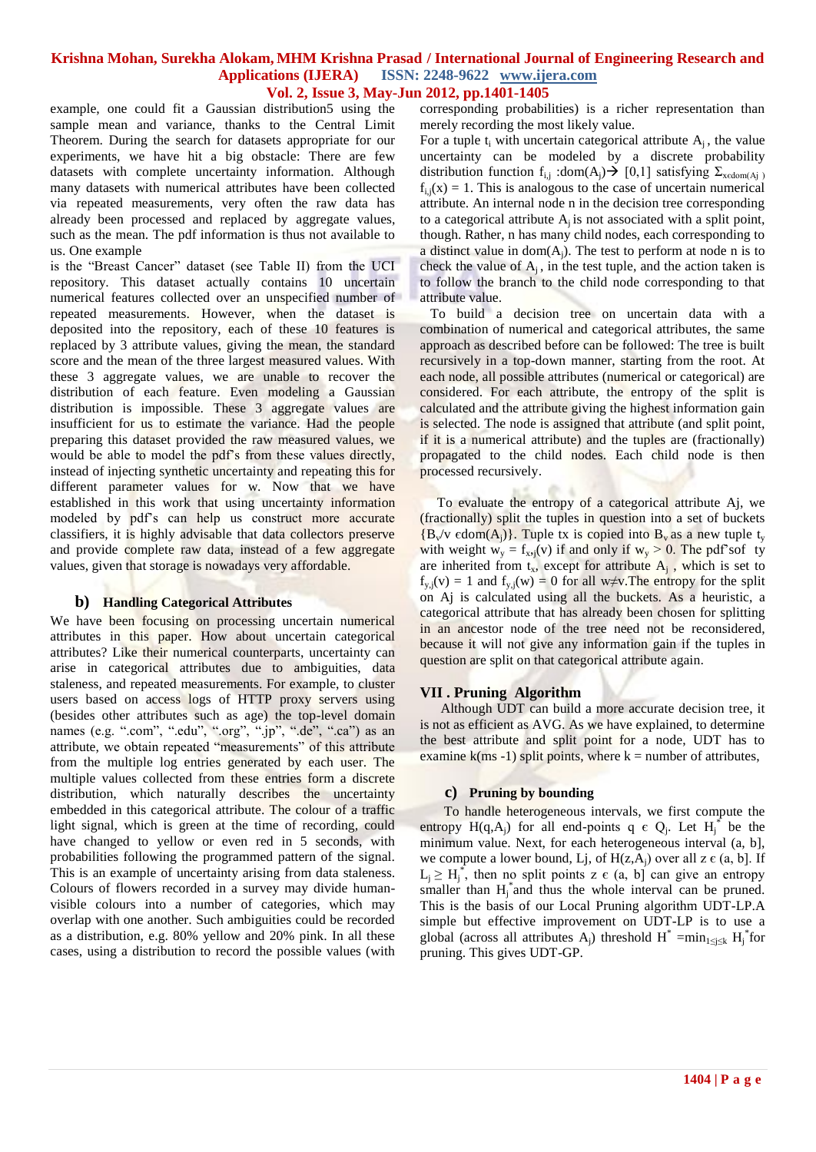example, one could fit a Gaussian distribution5 using the sample mean and variance, thanks to the Central Limit Theorem. During the search for datasets appropriate for our experiments, we have hit a big obstacle: There are few datasets with complete uncertainty information. Although many datasets with numerical attributes have been collected via repeated measurements, very often the raw data has already been processed and replaced by aggregate values, such as the mean. The pdf information is thus not available to us. One example

is the "Breast Cancer" dataset (see Table II) from the UCI repository. This dataset actually contains 10 uncertain numerical features collected over an unspecified number of repeated measurements. However, when the dataset is deposited into the repository, each of these 10 features is replaced by 3 attribute values, giving the mean, the standard score and the mean of the three largest measured values. With these 3 aggregate values, we are unable to recover the distribution of each feature. Even modeling a Gaussian distribution is impossible. These 3 aggregate values are insufficient for us to estimate the variance. Had the people preparing this dataset provided the raw measured values, we would be able to model the pdf's from these values directly, instead of injecting synthetic uncertainty and repeating this for different parameter values for w. Now that we have established in this work that using uncertainty information modeled by pdf's can help us construct more accurate classifiers, it is highly advisable that data collectors preserve and provide complete raw data, instead of a few aggregate values, given that storage is nowadays very affordable.

#### **b) Handling Categorical Attributes**

We have been focusing on processing uncertain numerical attributes in this paper. How about uncertain categorical attributes? Like their numerical counterparts, uncertainty can arise in categorical attributes due to ambiguities, data staleness, and repeated measurements. For example, to cluster users based on access logs of HTTP proxy servers using (besides other attributes such as age) the top-level domain names (e.g. ".com", ".edu", ".org", ".jp", ".de", ".ca") as an attribute, we obtain repeated "measurements" of this attribute from the multiple log entries generated by each user. The multiple values collected from these entries form a discrete distribution, which naturally describes the uncertainty embedded in this categorical attribute. The colour of a traffic light signal, which is green at the time of recording, could have changed to yellow or even red in 5 seconds, with probabilities following the programmed pattern of the signal. This is an example of uncertainty arising from data staleness. Colours of flowers recorded in a survey may divide humanvisible colours into a number of categories, which may overlap with one another. Such ambiguities could be recorded as a distribution, e.g. 80% yellow and 20% pink. In all these cases, using a distribution to record the possible values (with corresponding probabilities) is a richer representation than merely recording the most likely value.

For a tuple  $t_i$  with uncertain categorical attribute  $A_i$ , the value uncertainty can be modeled by a discrete probability distribution function f<sub>i,j</sub> :dom(A<sub>i</sub>)  $\rightarrow$  [0,1] satisfying  $\Sigma_{\text{xedom}(A)}$  $f_{i,i}(x) = 1$ . This is analogous to the case of uncertain numerical attribute. An internal node n in the decision tree corresponding to a categorical attribute  $A_i$  is not associated with a split point, though. Rather, n has many child nodes, each corresponding to a distinct value in  $dom(A_i)$ . The test to perform at node n is to check the value of  $A_i$ , in the test tuple, and the action taken is to follow the branch to the child node corresponding to that attribute value.

 To build a decision tree on uncertain data with a combination of numerical and categorical attributes, the same approach as described before can be followed: The tree is built recursively in a top-down manner, starting from the root. At each node, all possible attributes (numerical or categorical) are considered. For each attribute, the entropy of the split is calculated and the attribute giving the highest information gain is selected. The node is assigned that attribute (and split point, if it is a numerical attribute) and the tuples are (fractionally) propagated to the child nodes. Each child node is then processed recursively.

 To evaluate the entropy of a categorical attribute Aj, we (fractionally) split the tuples in question into a set of buckets  ${B_v/v \text{ edom}(A_i)}$ . Tuple tx is copied into  $B_v$  as a new tuple t<sub>v</sub> with weight  $w_y = f_{x,i}(v)$  if and only if  $w_y > 0$ . The pdf'sof ty are inherited from  $t_x$ , except for attribute  $A_j$ , which is set to  $f_{v,i}(v) = 1$  and  $f_{v,i}(w) = 0$  for all w≠v. The entropy for the split on Aj is calculated using all the buckets. As a heuristic, a categorical attribute that has already been chosen for splitting in an ancestor node of the tree need not be reconsidered, because it will not give any information gain if the tuples in question are split on that categorical attribute again.

#### **VII . Pruning Algorithm**

 Although UDT can build a more accurate decision tree, it is not as efficient as AVG. As we have explained, to determine the best attribute and split point for a node, UDT has to examine  $k(ms -1)$  split points, where  $k = number of attributes,$ 

#### **c) Pruning by bounding**

 To handle heterogeneous intervals, we first compute the entropy  $H(q, A_j)$  for all end-points  $q \in Q_j$ . Let  $H_j^*$  be the minimum value. Next, for each heterogeneous interval (a, b], we compute a lower bound, Lj, of  $H(z, A_i)$  over all  $z \in (a, b]$ . If  $L_j \geq H_j^*$ , then no split points z  $\epsilon$  (a, b] can give an entropy smaller than  $H_j^*$  and thus the whole interval can be pruned. This is the basis of our Local Pruning algorithm UDT-LP.A simple but effective improvement on UDT-LP is to use a global (across all attributes A<sub>j</sub>) threshold  $H^* = min_{1 \le j \le k} H_j^*$  for pruning. This gives UDT-GP.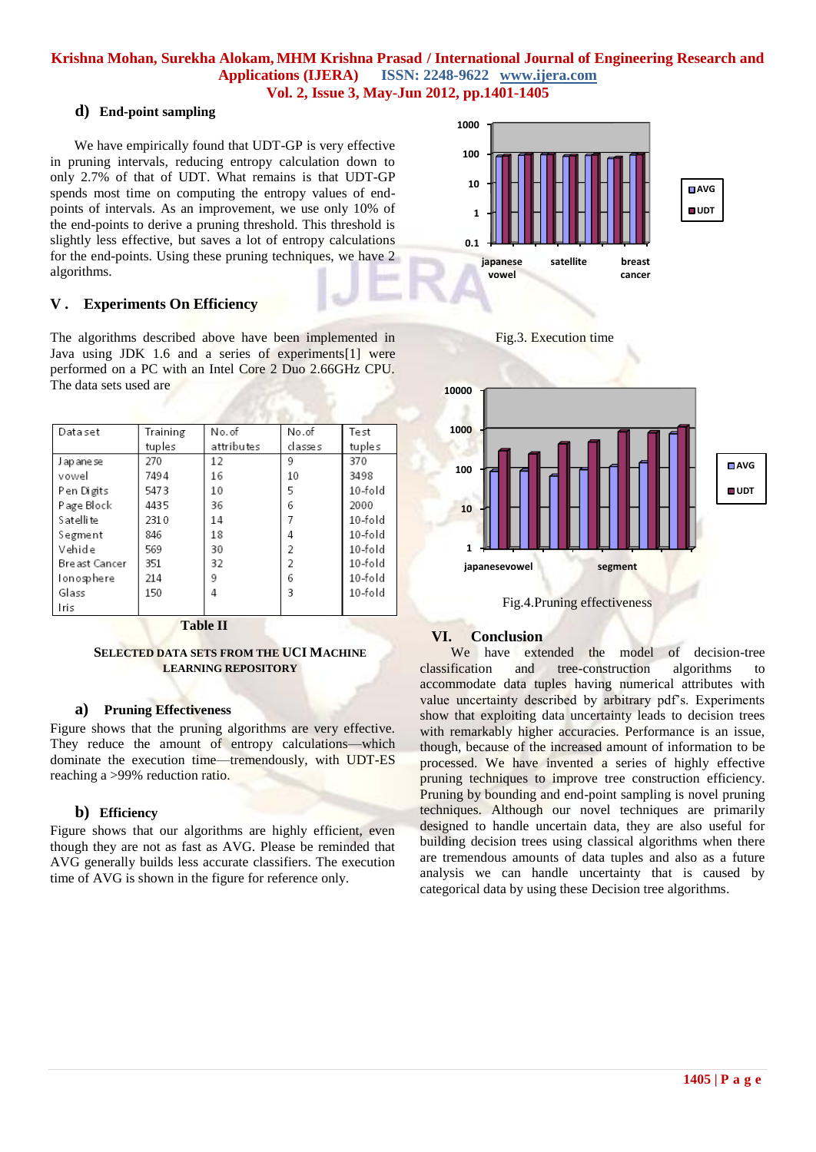## **d) End-point sampling**

 We have empirically found that UDT-GP is very effective in pruning intervals, reducing entropy calculation down to only 2.7% of that of UDT. What remains is that UDT-GP spends most time on computing the entropy values of endpoints of intervals. As an improvement, we use only 10% of the end-points to derive a pruning threshold. This threshold is slightly less effective, but saves a lot of entropy calculations for the end-points. Using these pruning techniques, we have 2 algorithms.

## **V . Experiments On Efficiency**

The algorithms described above have been implemented in Java using JDK 1.6 and a series of experiments[1] were performed on a PC with an Intel Core 2 Duo 2.66GHz CPU. The data sets used are

| Data set       | Training | No.of      | No.of   | Test      |
|----------------|----------|------------|---------|-----------|
|                | tuples   | attributes | classes | tuples    |
| J ap ane se    | 270      | 12         | 9       | 370       |
| vowel          | 7494     | 16         | 10      | 3498      |
| Pen Digits     | 5473     | 10         | 5       | $10-fold$ |
| Page Block     | 4435     | 36         | 6       | 2000      |
| S at elli te   | 2310     | 14         |         | $10-fold$ |
| Segment        | 846      | 18         | 4       | $10-fold$ |
| Vehide         | 569      | 30         | 2       | 10-fold   |
| Bre ast Cancer | 351      | 32         | 2       | 10-fold   |
| lonosphere     | 214      | 9          | 6       | 10-fold   |
| Glass          | 150      | 4          | 3       | $10-fold$ |
| Iris           |          |            |         |           |

#### **Table II**

#### **SELECTED DATA SETS FROM THE UCI MACHINE LEARNING REPOSITORY**

#### **a) Pruning Effectiveness**

Figure shows that the pruning algorithms are very effective. They reduce the amount of entropy calculations—which dominate the execution time—tremendously, with UDT-ES reaching a >99% reduction ratio.

#### **b) Efficiency**

Figure shows that our algorithms are highly efficient, even though they are not as fast as AVG. Please be reminded that AVG generally builds less accurate classifiers. The execution time of AVG is shown in the figure for reference only.



Fig.4.Pruning effectiveness

**japanesevowel segment**

# **VI. Conclusion**

 We have extended the model of decision-tree classification and tree-construction algorithms to accommodate data tuples having numerical attributes with value uncertainty described by arbitrary pdf's. Experiments show that exploiting data uncertainty leads to decision trees with remarkably higher accuracies. Performance is an issue, though, because of the increased amount of information to be processed. We have invented a series of highly effective pruning techniques to improve tree construction efficiency. Pruning by bounding and end-point sampling is novel pruning techniques. Although our novel techniques are primarily designed to handle uncertain data, they are also useful for building decision trees using classical algorithms when there are tremendous amounts of data tuples and also as a future analysis we can handle uncertainty that is caused by categorical data by using these Decision tree algorithms.